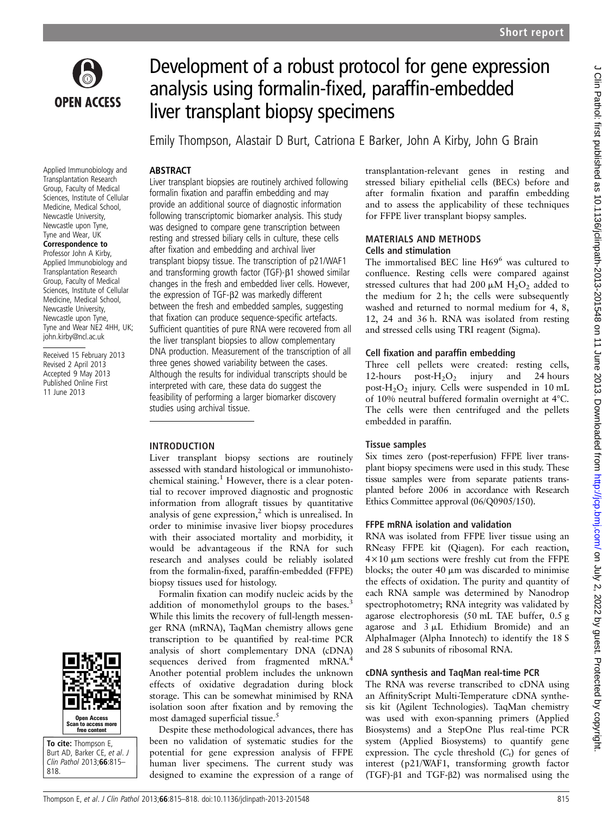

# Development of a robust protocol for gene expression analysis using formalin-fixed, paraffin-embedded liver transplant biopsy specimens

Emily Thompson, Alastair D Burt, Catriona E Barker, John A Kirby, John G Brain

# ABSTRACT

Applied Immunobiology and Transplantation Research Group, Faculty of Medical Sciences, Institute of Cellular Medicine, Medical School, Newcastle University, Newcastle upon Tyne, Tyne and Wear, UK

#### Correspondence to

Professor John A Kirby, Applied Immunobiology and Transplantation Research Group, Faculty of Medical Sciences, Institute of Cellular Medicine, Medical School, Newcastle University, Newcastle upon Tyne, Tyne and Wear NE2 4HH, UK; john.kirby@ncl.ac.uk

Received 15 February 2013 Revised 2 April 2013 Accepted 9 May 2013 Published Online First 11 June 2013



To cite: Thompson E, Burt AD, Barker CE, et al. J Clin Pathol 2013;66:815– 818.

Liver transplant biopsies are routinely archived following formalin fixation and paraffin embedding and may provide an additional source of diagnostic information following transcriptomic biomarker analysis. This study was designed to compare gene transcription between resting and stressed biliary cells in culture, these cells after fixation and embedding and archival liver transplant biopsy tissue. The transcription of p21/WAF1 and transforming growth factor (TGF)-β1 showed similar changes in the fresh and embedded liver cells. However, the expression of TGF-β2 was markedly different between the fresh and embedded samples, suggesting that fixation can produce sequence-specific artefacts. Sufficient quantities of pure RNA were recovered from all the liver transplant biopsies to allow complementary DNA production. Measurement of the transcription of all three genes showed variability between the cases. Although the results for individual transcripts should be interpreted with care, these data do suggest the feasibility of performing a larger biomarker discovery studies using archival tissue.

# INTRODUCTION

Liver transplant biopsy sections are routinely assessed with standard histological or immunohistochemical staining. $<sup>1</sup>$  However, there is a clear poten-</sup> tial to recover improved diagnostic and prognostic information from allograft tissues by quantitative analysis of gene expression, $<sup>2</sup>$  which is unrealised. In</sup> order to minimise invasive liver biopsy procedures with their associated mortality and morbidity, it would be advantageous if the RNA for such research and analyses could be reliably isolated from the formalin-fixed, paraffin-embedded (FFPE) biopsy tissues used for histology.

Formalin fixation can modify nucleic acids by the addition of monomethylol groups to the bases.<sup>3</sup> While this limits the recovery of full-length messenger RNA (mRNA), TaqMan chemistry allows gene transcription to be quantified by real-time PCR analysis of short complementary DNA (cDNA) sequences derived from fragmented mRNA.<sup>4</sup> Another potential problem includes the unknown effects of oxidative degradation during block storage. This can be somewhat minimised by RNA isolation soon after fixation and by removing the most damaged superficial tissue.<sup>5</sup>

Despite these methodological advances, there has been no validation of systematic studies for the potential for gene expression analysis of FFPE human liver specimens. The current study was designed to examine the expression of a range of transplantation-relevant genes in resting and stressed biliary epithelial cells (BECs) before and after formalin fixation and paraffin embedding and to assess the applicability of these techniques for FFPE liver transplant biopsy samples.

#### MATERIALS AND METHODS Cells and stimulation

The immortalised BEC line H69<sup>6</sup> was cultured to confluence. Resting cells were compared against stressed cultures that had 200  $\mu$ M H<sub>2</sub>O<sub>2</sub> added to the medium for 2 h; the cells were subsequently washed and returned to normal medium for 4, 8, 12, 24 and 36 h. RNA was isolated from resting and stressed cells using TRI reagent (Sigma).

# Cell fixation and paraffin embedding

Three cell pellets were created: resting cells, 12-hours post- $H_2O_2$  injury and 24 hours post- $H_2O_2$  injury. Cells were suspended in 10 mL of 10% neutral buffered formalin overnight at 4°C. The cells were then centrifuged and the pellets embedded in paraffin.

# Tissue samples

Six times zero (post-reperfusion) FFPE liver transplant biopsy specimens were used in this study. These tissue samples were from separate patients transplanted before 2006 in accordance with Research Ethics Committee approval (06/Q0905/150).

# FFPE mRNA isolation and validation

RNA was isolated from FFPE liver tissue using an RNeasy FFPE kit (Qiagen). For each reaction,  $4\times10$  µm sections were freshly cut from the FFPE blocks; the outer 40  $\mu$ m was discarded to minimise the effects of oxidation. The purity and quantity of each RNA sample was determined by Nanodrop spectrophotometry; RNA integrity was validated by agarose electrophoresis (50 mL TAE buffer, 0.5 g agarose and  $3 \mu L$  Ethidium Bromide) and an AlphaImager (Alpha Innotech) to identify the 18 S and 28 S subunits of ribosomal RNA.

# cDNA synthesis and TaqMan real-time PCR

The RNA was reverse transcribed to cDNA using an AffinityScript Multi-Temperature cDNA synthesis kit (Agilent Technologies). TaqMan chemistry was used with exon-spanning primers (Applied Biosystems) and a StepOne Plus real-time PCR system (Applied Biosystems) to quantify gene expression. The cycle threshold  $(C_t)$  for genes of interest (p21/WAF1, transforming growth factor (TGF)-β1 and TGF-β2) was normalised using the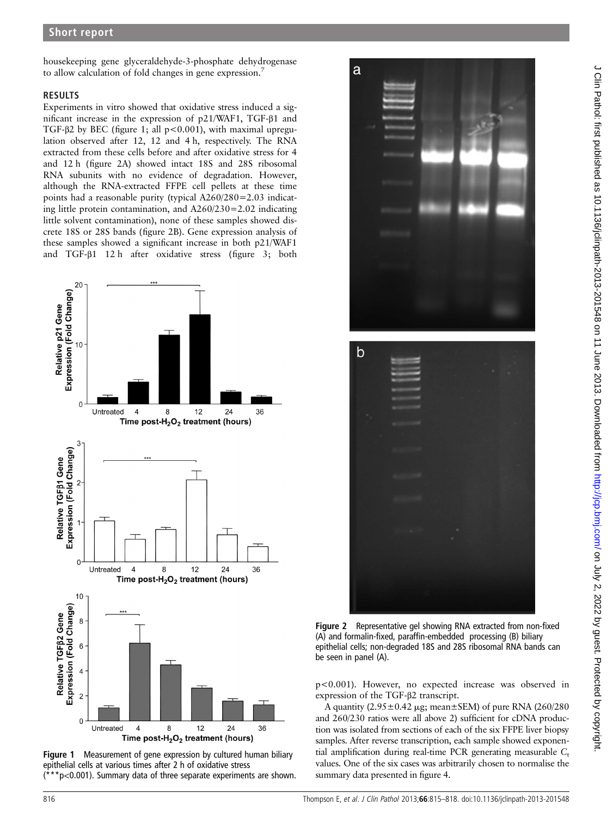housekeeping gene glyceraldehyde-3-phosphate dehydrogenase to allow calculation of fold changes in gene expression.<sup>7</sup>

#### RESULTS

Experiments in vitro showed that oxidative stress induced a significant increase in the expression of p21/WAF1, TGF-β1 and TGF-β2 by BEC (figure 1; all p<0.001), with maximal upregulation observed after 12, 12 and 4 h, respectively. The RNA extracted from these cells before and after oxidative stress for 4 and 12 h (figure 2A) showed intact 18S and 28S ribosomal RNA subunits with no evidence of degradation. However, although the RNA-extracted FFPE cell pellets at these time points had a reasonable purity (typical A260/280=2.03 indicating little protein contamination, and A260/230=2.02 indicating little solvent contamination), none of these samples showed discrete 18S or 28S bands (figure 2B). Gene expression analysis of these samples showed a significant increase in both p21/WAF1 and TGF-β1 12 h after oxidative stress (figure 3; both



Figure 1 Measurement of gene expression by cultured human biliary epithelial cells at various times after 2 h of oxidative stress  $*p<0.001$ ). Summary data of three separate experiments are shown.



Figure 2 Representative gel showing RNA extracted from non-fixed (A) and formalin-fixed, paraffin-embedded processing (B) biliary epithelial cells; non-degraded 18S and 28S ribosomal RNA bands can be seen in panel (A).

p<0.001). However, no expected increase was observed in expression of the TGF-β2 transcript.

A quantity  $(2.95 \pm 0.42 \,\mu\text{g}$ ; mean $\pm$ SEM) of pure RNA (260/280 and 260/230 ratios were all above 2) sufficient for cDNA production was isolated from sections of each of the six FFPE liver biopsy samples. After reverse transcription, each sample showed exponential amplification during real-time PCR generating measurable  $C<sub>t</sub>$ values. One of the six cases was arbitrarily chosen to normalise the summary data presented in figure 4.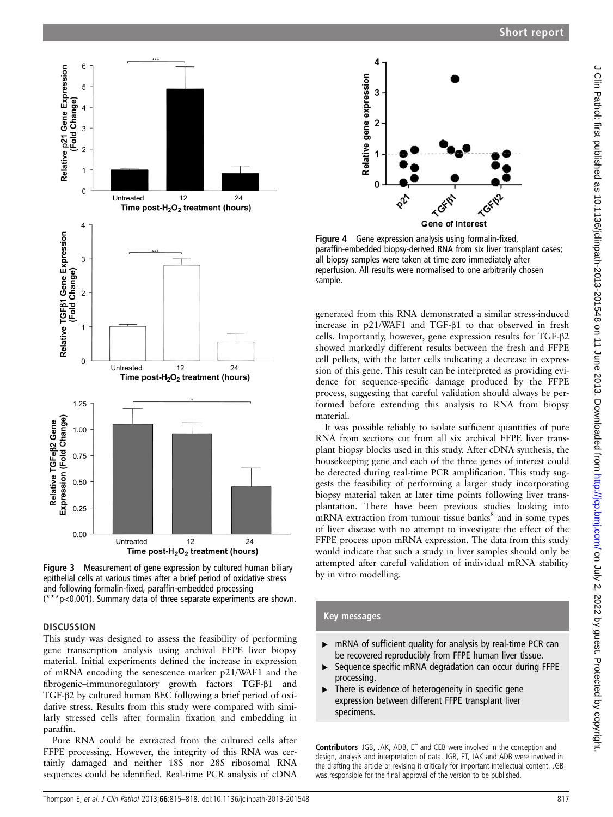



 $12$ 

 $12$ 



# **DISCUSSION**

6

5

3

 $\overline{2}$ 

 $\overline{1}$ 

 $\overline{0}$ 

 $\overline{4}$ 

3

 $\overline{1}$ 

 $\Omega$ 

1.25

1.00

0.75

0.50

 $0.25$ 

 $0.00$ 

Expression (Fold Change) Relative TGFeß2 Gene

Relative TGFB1 Gene Expression

(Fold Change)  $\overline{2}$  Untreated

Untreated

Relative p21 Gene Expression

Fold Change)  $\overline{A}$ 

This study was designed to assess the feasibility of performing gene transcription analysis using archival FFPE liver biopsy material. Initial experiments defined the increase in expression of mRNA encoding the senescence marker p21/WAF1 and the fibrogenic–immunoregulatory growth factors TGF-β1 and TGF-β2 by cultured human BEC following a brief period of oxidative stress. Results from this study were compared with similarly stressed cells after formalin fixation and embedding in paraffin.

Pure RNA could be extracted from the cultured cells after FFPE processing. However, the integrity of this RNA was certainly damaged and neither 18S nor 28S ribosomal RNA sequences could be identified. Real-time PCR analysis of cDNA



Figure 4 Gene expression analysis using formalin-fixed, paraffin-embedded biopsy-derived RNA from six liver transplant cases; all biopsy samples were taken at time zero immediately after reperfusion. All results were normalised to one arbitrarily chosen

generated from this RNA demonstrated a similar stress-induced increase in p21/WAF1 and TGF-β1 to that observed in fresh cells. Importantly, however, gene expression results for TGF-β2 showed markedly different results between the fresh and FFPE cell pellets, with the latter cells indicating a decrease in expression of this gene. This result can be interpreted as providing evidence for sequence-specific damage produced by the FFPE process, suggesting that careful validation should always be performed before extending this analysis to RNA from biopsy

It was possible reliably to isolate sufficient quantities of pure RNA from sections cut from all six archival FFPE liver transplant biopsy blocks used in this study. After cDNA synthesis, the housekeeping gene and each of the three genes of interest could be detected during real-time PCR amplification. This study suggests the feasibility of performing a larger study incorporating biopsy material taken at later time points following liver transplantation. There have been previous studies looking into  $mRNA$  extraction from tumour tissue banks $8$  and in some types of liver disease with no attempt to investigate the effect of the FFPE process upon mRNA expression. The data from this study would indicate that such a study in liver samples should only be attempted after careful validation of individual mRNA stability by in vitro modelling.

# Key messages

- ▸ mRNA of sufficient quality for analysis by real-time PCR can be recovered reproducibly from FFPE human liver tissue.
- ▸ Sequence specific mRNA degradation can occur during FFPE processing.
- ▸ There is evidence of heterogeneity in specific gene expression between different FFPE transplant liver specimens.

Contributors JGB, JAK, ADB, ET and CEB were involved in the conception and design, analysis and interpretation of data. JGB, ET, JAK and ADB were involved in the drafting the article or revising it critically for important intellectual content. JGB was responsible for the final approval of the version to be published.